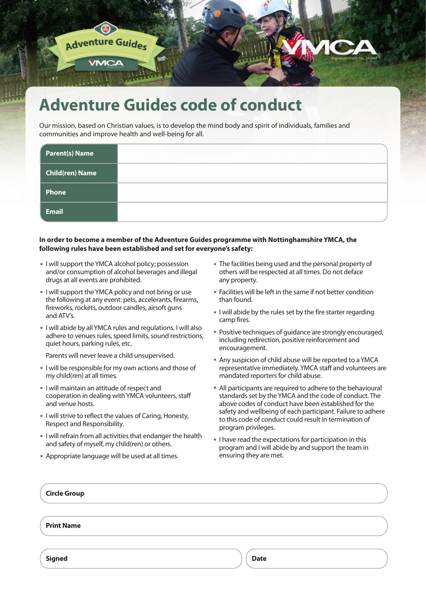

### **Adventure Guides code of conduct**

Our mission, based on Christian values, is to develop the mind body and spirit of individuals, families and communities and improve health and well-being for all.

| <b>Parent(s) Name</b>  |  |
|------------------------|--|
| <b>Child(ren) Name</b> |  |
| Phone                  |  |
| <b>Email</b>           |  |

#### **In order to become a member of the Adventure Guides programme with Nottinghamshire YMCA, the following rules have been established and set for everyone's safety:**

- I will support the YMCA alcohol policy; possession and/or consumption of alcohol beverages and illegal drugs at all events are prohibited.
- I will support the YMCA policy and not bring or use the following at any event: pets, accelerants, firearms, fireworks, rockets, outdoor candles, airsoft guns and ATV's.
- I will abide by all YMCA rules and regulations. I will also adhere to venues rules, speed limits, sound restrictions, quiet hours, parking rules, etc.

Parents will never leave a child unsupervised.

- I will be responsible for my own actions and those of my child(ren) at all times.
- I will maintain an attitude of respect and cooperation in dealing with YMCA volunteers, staff and venue hosts.
- I will strive to reflect the values of Caring, Honesty, Respect and Responsibility.
- I will refrain from all activities that endanger the health and safety of myself, my child(ren) or others.
- Appropriate language will be used at all times.
- The facilities being used and the personal property of others will be respected at all times. Do not deface any property.
- Facilities will be left in the same if not better condition than found.
- I will abide by the rules set by the fire starter regarding camp fires.
- Positive techniques of guidance are strongly encouraged, including redirection, positive reinforcement and encouragement.
- Any suspicion of child abuse will be reported to a YMCA representative immediately. YMCA staff and volunteers are mandated reporters for child abuse.
- All participants are required to adhere to the behavioural standards set by the YMCA and the code of conduct. The above codes of conduct have been established for the safety and wellbeing of each participant. Failure to adhere to this code of conduct could result in termination of program privileges.
- I have read the expectations for participation in this program and I will abide by and support the team in ensuring they are met.

| <b>Circle Group</b> |             |  |
|---------------------|-------------|--|
| <b>Print Name</b>   |             |  |
| <b>Signed</b>       | <b>Date</b> |  |